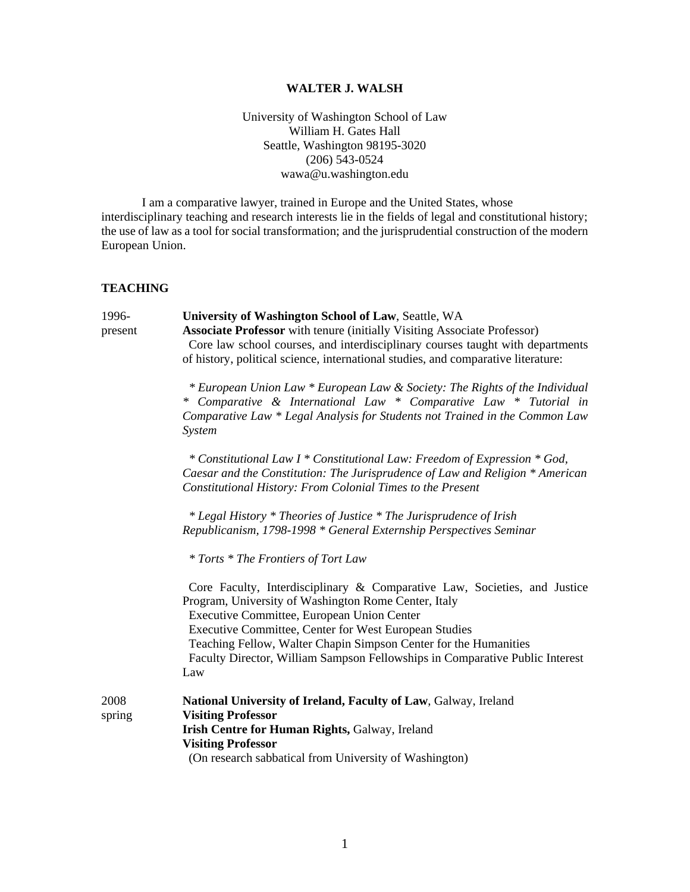## **WALTER J. WALSH**

University of Washington School of Law William H. Gates Hall Seattle, Washington 98195-3020 (206) 543-0524 wawa@u.washington.edu

I am a comparative lawyer, trained in Europe and the United States, whose interdisciplinary teaching and research interests lie in the fields of legal and constitutional history; the use of law as a tool for social transformation; and the jurisprudential construction of the modern European Union.

## **TEACHING**

| 1996-<br>present | University of Washington School of Law, Seattle, WA<br><b>Associate Professor</b> with tenure (initially Visiting Associate Professor)<br>Core law school courses, and interdisciplinary courses taught with departments<br>of history, political science, international studies, and comparative literature:<br>* European Union Law * European Law & Society: The Rights of the Individual<br>* Comparative & International Law * Comparative Law * Tutorial in<br>Comparative Law * Legal Analysis for Students not Trained in the Common Law<br>System<br>* Constitutional Law I * Constitutional Law: Freedom of Expression * God, |
|------------------|-----------------------------------------------------------------------------------------------------------------------------------------------------------------------------------------------------------------------------------------------------------------------------------------------------------------------------------------------------------------------------------------------------------------------------------------------------------------------------------------------------------------------------------------------------------------------------------------------------------------------------------------|
|                  | Caesar and the Constitution: The Jurisprudence of Law and Religion * American<br>Constitutional History: From Colonial Times to the Present<br>* Legal History * Theories of Justice * The Jurisprudence of Irish<br>Republicanism, 1798-1998 * General Externship Perspectives Seminar<br>* Torts * The Frontiers of Tort Law                                                                                                                                                                                                                                                                                                          |
|                  | Core Faculty, Interdisciplinary & Comparative Law, Societies, and Justice<br>Program, University of Washington Rome Center, Italy<br>Executive Committee, European Union Center<br><b>Executive Committee, Center for West European Studies</b><br>Teaching Fellow, Walter Chapin Simpson Center for the Humanities<br>Faculty Director, William Sampson Fellowships in Comparative Public Interest<br>Law                                                                                                                                                                                                                              |
| 2008<br>spring   | National University of Ireland, Faculty of Law, Galway, Ireland<br><b>Visiting Professor</b><br>Irish Centre for Human Rights, Galway, Ireland<br><b>Visiting Professor</b><br>(On research sabbatical from University of Washington)                                                                                                                                                                                                                                                                                                                                                                                                   |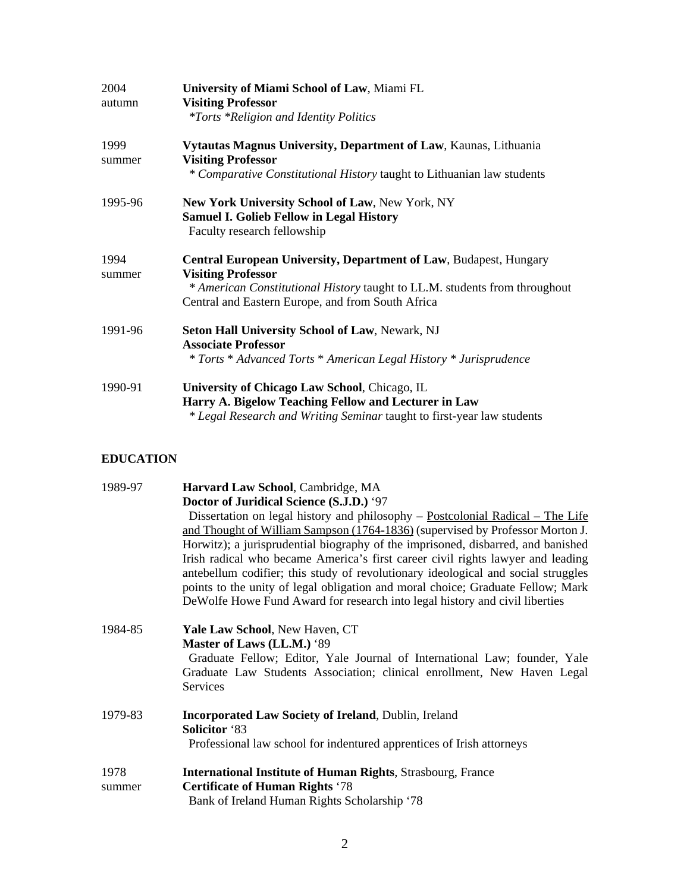| 2004<br>autumn | University of Miami School of Law, Miami FL<br><b>Visiting Professor</b><br><i>*Torts *Religion and Identity Politics</i>                                                                                                         |
|----------------|-----------------------------------------------------------------------------------------------------------------------------------------------------------------------------------------------------------------------------------|
| 1999<br>summer | Vytautas Magnus University, Department of Law, Kaunas, Lithuania<br><b>Visiting Professor</b><br>* Comparative Constitutional History taught to Lithuanian law students                                                           |
| 1995-96        | New York University School of Law, New York, NY<br><b>Samuel I. Golieb Fellow in Legal History</b><br>Faculty research fellowship                                                                                                 |
| 1994<br>summer | Central European University, Department of Law, Budapest, Hungary<br><b>Visiting Professor</b><br>* American Constitutional History taught to LL.M. students from throughout<br>Central and Eastern Europe, and from South Africa |
| 1991-96        | <b>Seton Hall University School of Law, Newark, NJ</b><br><b>Associate Professor</b><br>* Torts * Advanced Torts * American Legal History * Jurisprudence                                                                         |
| 1990-91        | University of Chicago Law School, Chicago, IL<br>Harry A. Bigelow Teaching Fellow and Lecturer in Law<br>* Legal Research and Writing Seminar taught to first-year law students                                                   |

# **EDUCATION**

| 1989-97 | Harvard Law School, Cambridge, MA                                                 |
|---------|-----------------------------------------------------------------------------------|
|         | Doctor of Juridical Science (S.J.D.) '97                                          |
|         | Dissertation on legal history and philosophy - Postcolonial Radical - The Life    |
|         | and Thought of William Sampson (1764-1836) (supervised by Professor Morton J.     |
|         | Horwitz); a jurisprudential biography of the imprisoned, disbarred, and banished  |
|         | Irish radical who became America's first career civil rights lawyer and leading   |
|         | antebellum codifier; this study of revolutionary ideological and social struggles |
|         | points to the unity of legal obligation and moral choice; Graduate Fellow; Mark   |
|         | De Wolfe Howe Fund Award for research into legal history and civil liberties      |
| 1984-85 | Yale Law School, New Haven, CT                                                    |
|         | Master of Laws (LL.M.) '89                                                        |
|         | Graduate Fellow; Editor, Yale Journal of International Law; founder, Yale         |
|         | Graduate Law Students Association; clinical enrollment, New Haven Legal           |
|         | Services                                                                          |
| 1979-83 | <b>Incorporated Law Society of Ireland, Dublin, Ireland</b>                       |
|         | <b>Solicitor</b> '83                                                              |
|         | Professional law school for indentured apprentices of Irish attorneys             |
|         |                                                                                   |
| 1978    | <b>International Institute of Human Rights, Strasbourg, France</b>                |
| summer  | <b>Certificate of Human Rights '78</b>                                            |
|         | Bank of Ireland Human Rights Scholarship '78                                      |
|         |                                                                                   |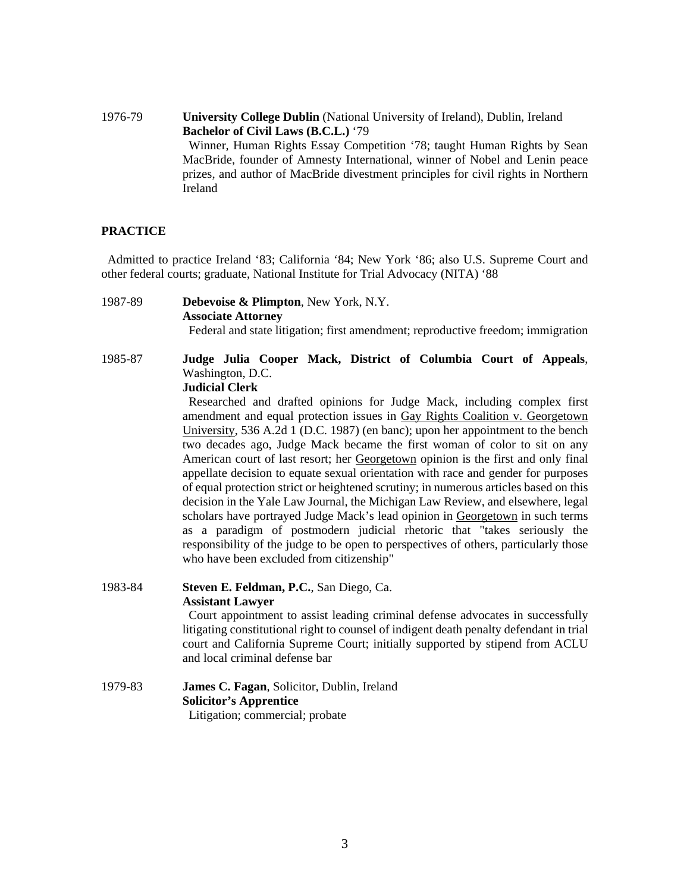1976-79 **University College Dublin** (National University of Ireland), Dublin, Ireland **Bachelor of Civil Laws (B.C.L.)** '79 Winner, Human Rights Essay Competition '78; taught Human Rights by Sean MacBride, founder of Amnesty International, winner of Nobel and Lenin peace prizes, and author of MacBride divestment principles for civil rights in Northern Ireland

#### **PRACTICE**

 Admitted to practice Ireland '83; California '84; New York '86; also U.S. Supreme Court and other federal courts; graduate, National Institute for Trial Advocacy (NITA) '88

- 1987-89 **Debevoise & Plimpton**, New York, N.Y. **Associate Attorney**  Federal and state litigation; first amendment; reproductive freedom; immigration
- 1985-87 **Judge Julia Cooper Mack, District of Columbia Court of Appeals**, Washington, D.C.

## **Judicial Clerk**

 Researched and drafted opinions for Judge Mack, including complex first amendment and equal protection issues in Gay Rights Coalition v. Georgetown University, 536 A.2d 1 (D.C. 1987) (en banc); upon her appointment to the bench two decades ago, Judge Mack became the first woman of color to sit on any American court of last resort; her Georgetown opinion is the first and only final appellate decision to equate sexual orientation with race and gender for purposes of equal protection strict or heightened scrutiny; in numerous articles based on this decision in the Yale Law Journal, the Michigan Law Review, and elsewhere, legal scholars have portrayed Judge Mack's lead opinion in Georgetown in such terms as a paradigm of postmodern judicial rhetoric that "takes seriously the responsibility of the judge to be open to perspectives of others, particularly those who have been excluded from citizenship"

1983-84 **Steven E. Feldman, P.C.**, San Diego, Ca. **Assistant Lawyer** 

 Court appointment to assist leading criminal defense advocates in successfully litigating constitutional right to counsel of indigent death penalty defendant in trial court and California Supreme Court; initially supported by stipend from ACLU and local criminal defense bar

1979-83 **James C. Fagan**, Solicitor, Dublin, Ireland **Solicitor's Apprentice**  Litigation; commercial; probate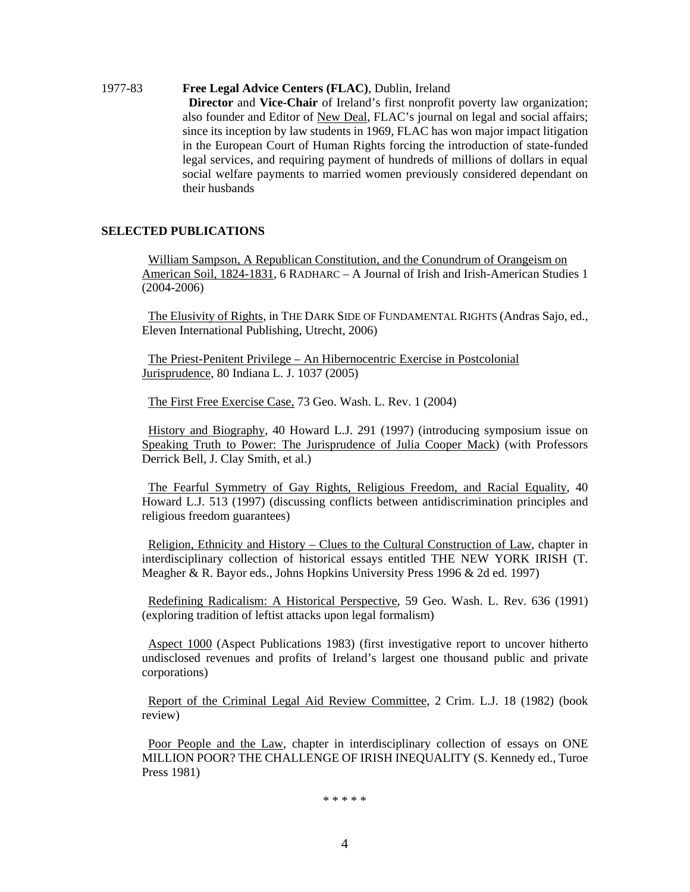#### 1977-83 **Free Legal Advice Centers (FLAC)**, Dublin, Ireland

 **Director** and **Vice-Chair** of Ireland's first nonprofit poverty law organization; also founder and Editor of New Deal, FLAC's journal on legal and social affairs; since its inception by law students in 1969, FLAC has won major impact litigation in the European Court of Human Rights forcing the introduction of state-funded legal services, and requiring payment of hundreds of millions of dollars in equal social welfare payments to married women previously considered dependant on their husbands

## **SELECTED PUBLICATIONS**

 William Sampson, A Republican Constitution, and the Conundrum of Orangeism on American Soil, 1824-1831, 6 RADHARC – A Journal of Irish and Irish-American Studies 1 (2004-2006)

 The Elusivity of Rights, in THE DARK SIDE OF FUNDAMENTAL RIGHTS (Andras Sajo, ed., Eleven International Publishing, Utrecht, 2006)

 The Priest-Penitent Privilege – An Hibernocentric Exercise in Postcolonial Jurisprudence, 80 Indiana L. J. 1037 (2005)

The First Free Exercise Case, 73 Geo. Wash. L. Rev. 1 (2004)

 History and Biography, 40 Howard L.J. 291 (1997) (introducing symposium issue on Speaking Truth to Power: The Jurisprudence of Julia Cooper Mack) (with Professors Derrick Bell, J. Clay Smith, et al.)

 The Fearful Symmetry of Gay Rights, Religious Freedom, and Racial Equality, 40 Howard L.J. 513 (1997) (discussing conflicts between antidiscrimination principles and religious freedom guarantees)

 Religion, Ethnicity and History – Clues to the Cultural Construction of Law, chapter in interdisciplinary collection of historical essays entitled THE NEW YORK IRISH (T. Meagher & R. Bayor eds., Johns Hopkins University Press 1996 & 2d ed. 1997)

 Redefining Radicalism: A Historical Perspective, 59 Geo. Wash. L. Rev. 636 (1991) (exploring tradition of leftist attacks upon legal formalism)

 Aspect 1000 (Aspect Publications 1983) (first investigative report to uncover hitherto undisclosed revenues and profits of Ireland's largest one thousand public and private corporations)

 Report of the Criminal Legal Aid Review Committee, 2 Crim. L.J. 18 (1982) (book review)

 Poor People and the Law, chapter in interdisciplinary collection of essays on ONE MILLION POOR? THE CHALLENGE OF IRISH INEQUALITY (S. Kennedy ed., Turoe Press 1981)

\* \* \* \* \*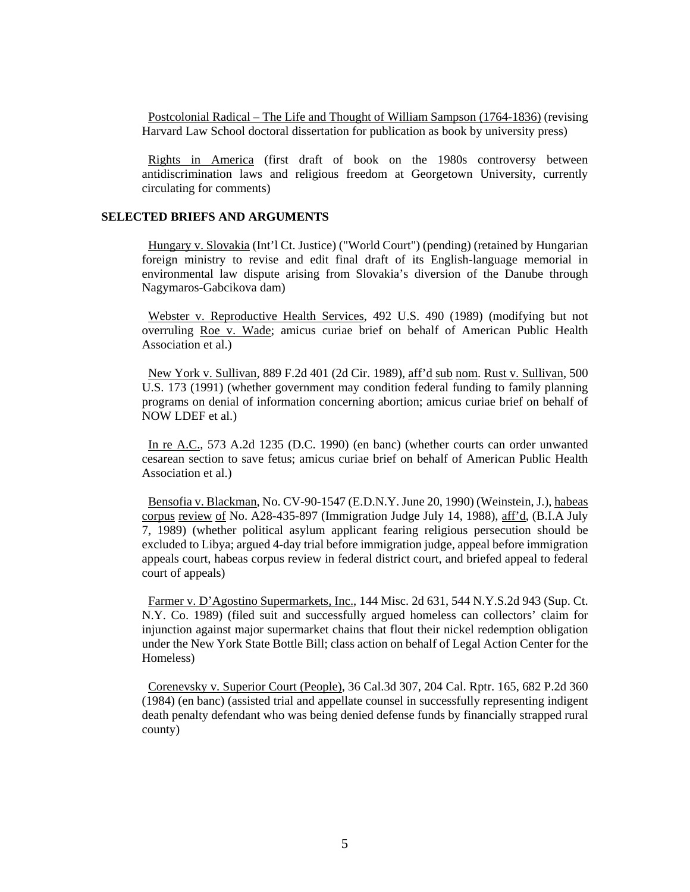Postcolonial Radical – The Life and Thought of William Sampson (1764-1836) (revising Harvard Law School doctoral dissertation for publication as book by university press)

 Rights in America (first draft of book on the 1980s controversy between antidiscrimination laws and religious freedom at Georgetown University, currently circulating for comments)

#### **SELECTED BRIEFS AND ARGUMENTS**

 Hungary v. Slovakia (Int'l Ct. Justice) ("World Court") (pending) (retained by Hungarian foreign ministry to revise and edit final draft of its English-language memorial in environmental law dispute arising from Slovakia's diversion of the Danube through Nagymaros-Gabcikova dam)

 Webster v. Reproductive Health Services, 492 U.S. 490 (1989) (modifying but not overruling Roe v. Wade; amicus curiae brief on behalf of American Public Health Association et al.)

 New York v. Sullivan, 889 F.2d 401 (2d Cir. 1989), aff'd sub nom. Rust v. Sullivan, 500 U.S. 173 (1991) (whether government may condition federal funding to family planning programs on denial of information concerning abortion; amicus curiae brief on behalf of NOW LDEF et al.)

 In re A.C., 573 A.2d 1235 (D.C. 1990) (en banc) (whether courts can order unwanted cesarean section to save fetus; amicus curiae brief on behalf of American Public Health Association et al.)

 Bensofia v. Blackman, No. CV-90-1547 (E.D.N.Y. June 20, 1990) (Weinstein, J.), habeas corpus review of No. A28-435-897 (Immigration Judge July 14, 1988), aff'd, (B.I.A July 7, 1989) (whether political asylum applicant fearing religious persecution should be excluded to Libya; argued 4-day trial before immigration judge, appeal before immigration appeals court, habeas corpus review in federal district court, and briefed appeal to federal court of appeals)

 Farmer v. D'Agostino Supermarkets, Inc., 144 Misc. 2d 631, 544 N.Y.S.2d 943 (Sup. Ct. N.Y. Co. 1989) (filed suit and successfully argued homeless can collectors' claim for injunction against major supermarket chains that flout their nickel redemption obligation under the New York State Bottle Bill; class action on behalf of Legal Action Center for the Homeless)

 Corenevsky v. Superior Court (People), 36 Cal.3d 307, 204 Cal. Rptr. 165, 682 P.2d 360 (1984) (en banc) (assisted trial and appellate counsel in successfully representing indigent death penalty defendant who was being denied defense funds by financially strapped rural county)